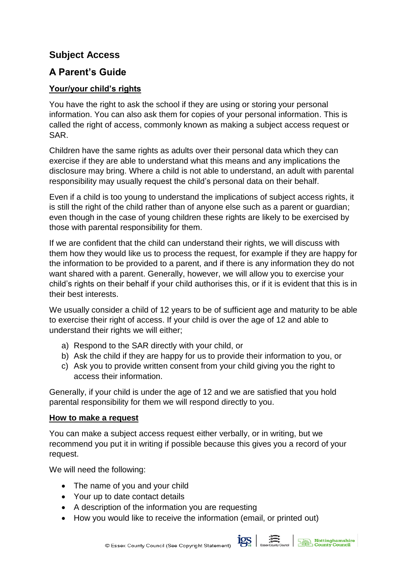## **Subject Access**

## **A Parent's Guide**

## **Your/your child's rights**

You have the right to ask the school if they are using or storing your personal information. You can also ask them for copies of your personal information. This is called the right of access, commonly known as making a subject access request or SAR.

Children have the same rights as adults over their personal data which they can exercise if they are able to understand what this means and any implications the disclosure may bring. Where a child is not able to understand, an adult with parental responsibility may usually request the child's personal data on their behalf.

Even if a child is too young to understand the implications of subject access rights, it is still the right of the child rather than of anyone else such as a parent or guardian; even though in the case of young children these rights are likely to be exercised by those with parental responsibility for them.

If we are confident that the child can understand their rights, we will discuss with them how they would like us to process the request, for example if they are happy for the information to be provided to a parent, and if there is any information they do not want shared with a parent. Generally, however, we will allow you to exercise your child's rights on their behalf if your child authorises this, or if it is evident that this is in their best interests.

We usually consider a child of 12 years to be of sufficient age and maturity to be able to exercise their right of access. If your child is over the age of 12 and able to understand their rights we will either;

- a) Respond to the SAR directly with your child, or
- b) Ask the child if they are happy for us to provide their information to you, or
- c) Ask you to provide written consent from your child giving you the right to access their information.

Generally, if your child is under the age of 12 and we are satisfied that you hold parental responsibility for them we will respond directly to you.

## **How to make a request**

You can make a subject access request either verbally, or in writing, but we recommend you put it in writing if possible because this gives you a record of your request.

We will need the following:

- The name of you and your child
- Your up to date contact details
- A description of the information you are requesting
- How you would like to receive the information (email, or printed out)